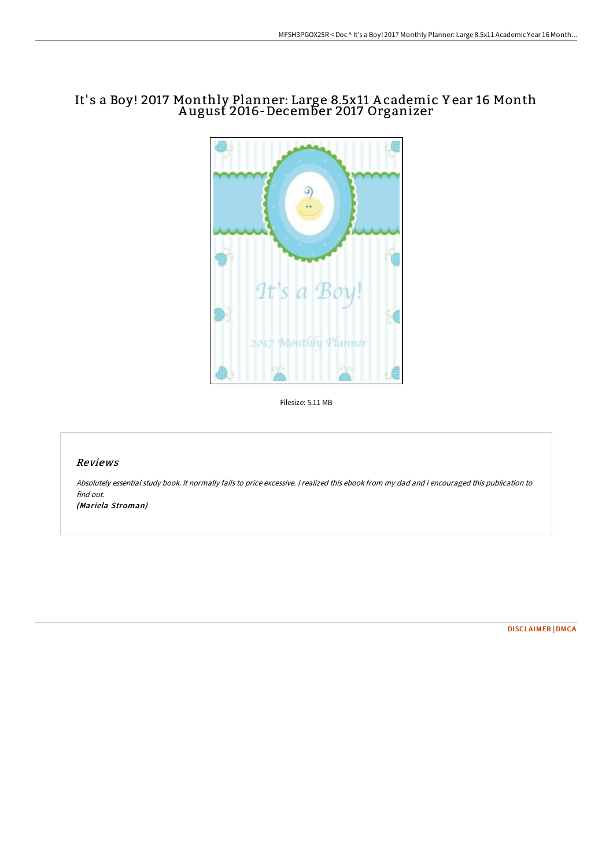## It's a Boy! 2017 Monthly Planner: Large 8.5x11 Academic Year 16 Month A ugust 2016-December 2017 Organizer



Filesize: 5.11 MB

## Reviews

Absolutely essential study book. It normally fails to price excessive. <sup>I</sup> realized this ebook from my dad and i encouraged this publication to find out.

(Mariela Stroman)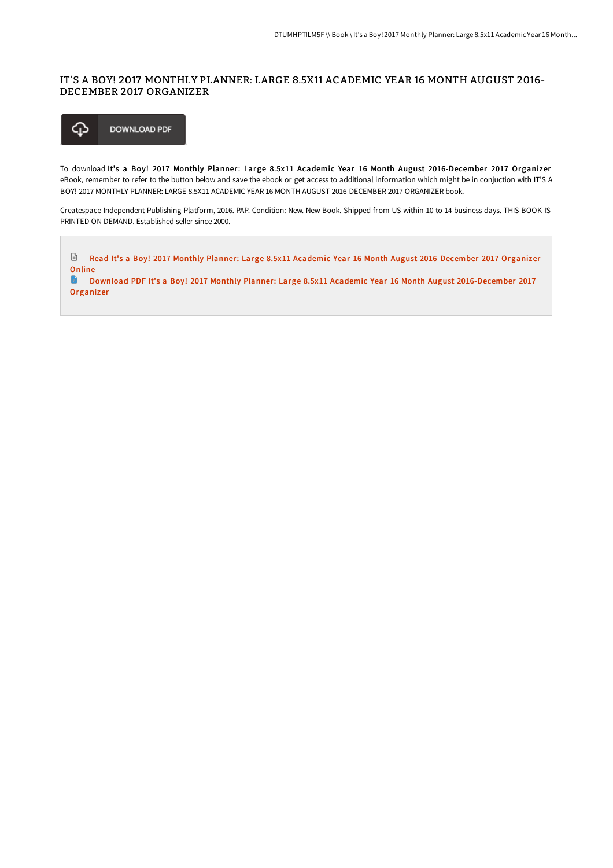## IT'S A BOY! 2017 MONTHLY PLANNER: LARGE 8.5X11 ACADEMIC YEAR 16 MONTH AUGUST 2016- DECEMBER 2017 ORGANIZER



To download It's a Boy! 2017 Monthly Planner: Large 8.5x11 Academic Year 16 Month August 2016-December 2017 Organizer eBook, remember to refer to the button below and save the ebook or get access to additional information which might be in conjuction with IT'S A BOY! 2017 MONTHLY PLANNER: LARGE 8.5X11 ACADEMIC YEAR 16 MONTH AUGUST 2016-DECEMBER 2017 ORGANIZER book.

Createspace Independent Publishing Platform, 2016. PAP. Condition: New. New Book. Shipped from US within 10 to 14 business days. THIS BOOK IS PRINTED ON DEMAND. Established seller since 2000.